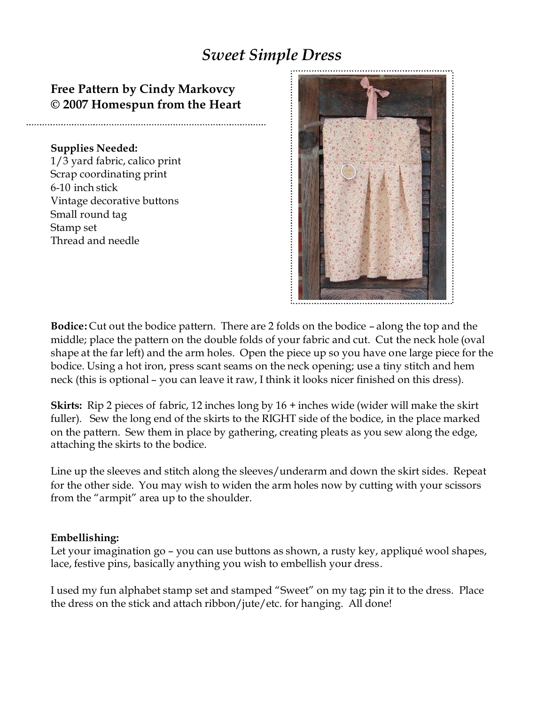## *Sweet Simple Dress*

## **Free Pattern by Cindy Markovcy © 2007 Homespun from the Heart**

## **Supplies Needed:**

1/3 yard fabric, calico print Scrap coordinating print 6-10 inch stick Vintage decorative buttons Small round tag Stamp set Thread and needle



**Bodice:** Cut out the bodice pattern. There are 2 folds on the bodice – along the top and the middle; place the pattern on the double folds of your fabric and cut. Cut the neck hole (oval shape at the far left) and the arm holes. Open the piece up so you have one large piece for the bodice. Using a hot iron, press scant seams on the neck opening; use a tiny stitch and hem neck (this is optional – you can leave it raw, I think it looks nicer finished on this dress).

**Skirts:** Rip 2 pieces of fabric, 12 inches long by 16 + inches wide (wider will make the skirt fuller). Sew the long end of the skirts to the RIGHT side of the bodice, in the place marked on the pattern. Sew them in place by gathering, creating pleats as you sew along the edge, attaching the skirts to the bodice.

Line up the sleeves and stitch along the sleeves/underarm and down the skirt sides. Repeat for the other side. You may wish to widen the arm holes now by cutting with your scissors from the "armpit" area up to the shoulder.

## **Embellishing:**

Let your imagination go – you can use buttons as shown, a rusty key, appliqué wool shapes, lace, festive pins, basically anything you wish to embellish your dress.

I used my fun alphabet stamp set and stamped "Sweet" on my tag; pin it to the dress. Place the dress on the stick and attach ribbon/jute/etc. for hanging. All done!